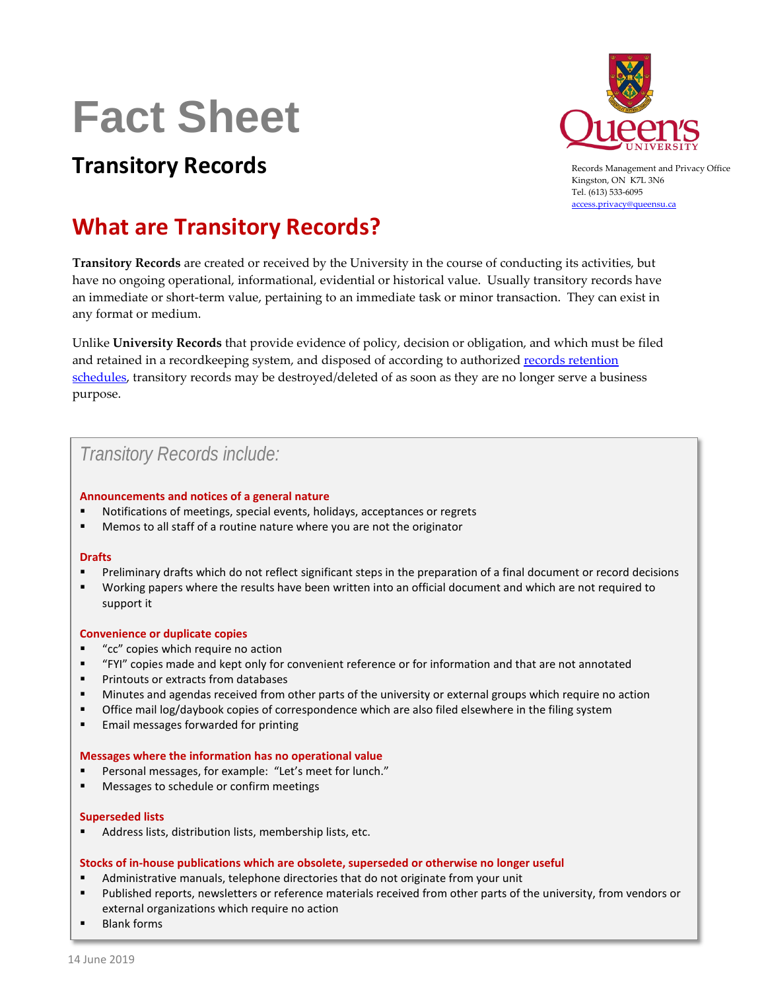# **Fact Sheet**



Records Management and Privacy Office Kingston, ON K7L 3N6 Tel. (613) 533-6095 [access.privacy@queensu.ca](mailto:access.privacy@queensu.ca)

## **Transitory Records**

## **What are Transitory Records?**

**Transitory Records** are created or received by the University in the course of conducting its activities, but have no ongoing operational, informational, evidential or historical value. Usually transitory records have an immediate or short-term value, pertaining to an immediate task or minor transaction. They can exist in any format or medium.

Unlike **University Records** that provide evidence of policy, decision or obligation, and which must be filed and retained in a recordkeeping system, and disposed of according to authorized records [retention](http://www.queensu.ca/accessandprivacy/records-management/records-retention-schedules)  [schedules,](http://www.queensu.ca/accessandprivacy/records-management/records-retention-schedules) transitory records may be destroyed/deleted of as soon as they are no longer serve a business purpose.

## *Transitory Records include:*

#### **Announcements and notices of a general nature**

- Notifications of meetings, special events, holidays, acceptances or regrets
- Memos to all staff of a routine nature where you are not the originator

#### **Drafts**

- Preliminary drafts which do not reflect significant steps in the preparation of a final document or record decisions
- Working papers where the results have been written into an official document and which are not required to support it

#### **Convenience or duplicate copies**

- "cc" copies which require no action
- "FYI" copies made and kept only for convenient reference or for information and that are not annotated
- **Printouts or extracts from databases**
- Minutes and agendas received from other parts of the university or external groups which require no action
- Office mail log/daybook copies of correspondence which are also filed elsewhere in the filing system
- **Email messages forwarded for printing**

#### **Messages where the information has no operational value**

- Personal messages, for example: "Let's meet for lunch."
- Messages to schedule or confirm meetings

#### **Superseded lists**

Address lists, distribution lists, membership lists, etc.

#### **Stocks of in-house publications which are obsolete, superseded or otherwise no longer useful**

- Administrative manuals, telephone directories that do not originate from your unit
- Published reports, newsletters or reference materials received from other parts of the university, from vendors or external organizations which require no action
- Blank forms